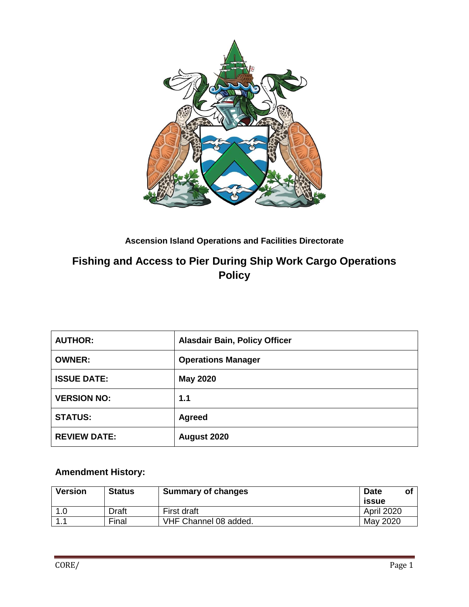

#### **Ascension Island Operations and Facilities Directorate**

# **Fishing and Access to Pier During Ship Work Cargo Operations Policy**

| <b>AUTHOR:</b>      | <b>Alasdair Bain, Policy Officer</b> |
|---------------------|--------------------------------------|
| <b>OWNER:</b>       | <b>Operations Manager</b>            |
| <b>ISSUE DATE:</b>  | <b>May 2020</b>                      |
| <b>VERSION NO:</b>  | 1.1                                  |
| <b>STATUS:</b>      | Agreed                               |
| <b>REVIEW DATE:</b> | August 2020                          |

## **Amendment History:**

| <b>Version</b> | <b>Status</b> | <b>Summary of changes</b> | <b>Date</b><br>O1<br>issue |
|----------------|---------------|---------------------------|----------------------------|
| 1.0            | Draft         | First draft               | April 2020                 |
|                | Final         | VHF Channel 08 added.     | May 2020                   |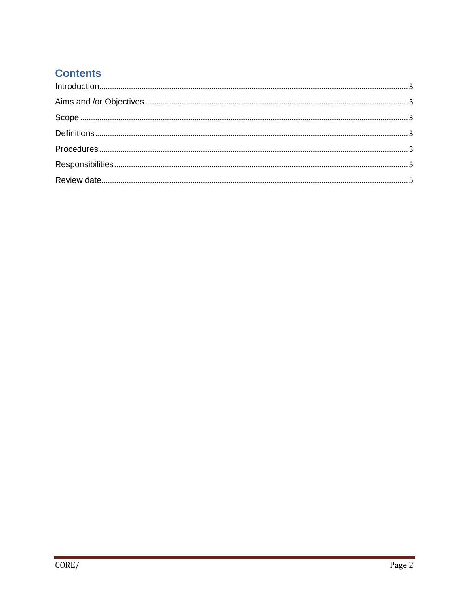# **Contents**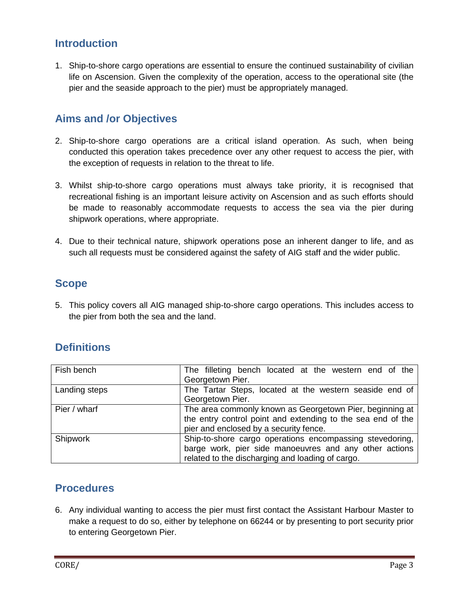## <span id="page-2-0"></span>**Introduction**

1. Ship-to-shore cargo operations are essential to ensure the continued sustainability of civilian life on Ascension. Given the complexity of the operation, access to the operational site (the pier and the seaside approach to the pier) must be appropriately managed.

## <span id="page-2-1"></span>**Aims and /or Objectives**

- 2. Ship-to-shore cargo operations are a critical island operation. As such, when being conducted this operation takes precedence over any other request to access the pier, with the exception of requests in relation to the threat to life.
- 3. Whilst ship-to-shore cargo operations must always take priority, it is recognised that recreational fishing is an important leisure activity on Ascension and as such efforts should be made to reasonably accommodate requests to access the sea via the pier during shipwork operations, where appropriate.
- 4. Due to their technical nature, shipwork operations pose an inherent danger to life, and as such all requests must be considered against the safety of AIG staff and the wider public.

#### <span id="page-2-2"></span>**Scope**

5. This policy covers all AIG managed ship-to-shore cargo operations. This includes access to the pier from both the sea and the land.

## <span id="page-2-3"></span>**Definitions**

| Fish bench    | The filleting bench located at the western end of the                                                                   |
|---------------|-------------------------------------------------------------------------------------------------------------------------|
|               | Georgetown Pier.                                                                                                        |
| Landing steps | The Tartar Steps, located at the western seaside end of                                                                 |
|               | Georgetown Pier.                                                                                                        |
| Pier / wharf  | The area commonly known as Georgetown Pier, beginning at<br>the entry control point and extending to the sea end of the |
|               |                                                                                                                         |
|               | pier and enclosed by a security fence.                                                                                  |
| Shipwork      | Ship-to-shore cargo operations encompassing stevedoring,                                                                |
|               | barge work, pier side manoeuvres and any other actions                                                                  |
|               | related to the discharging and loading of cargo.                                                                        |

## <span id="page-2-4"></span>**Procedures**

6. Any individual wanting to access the pier must first contact the Assistant Harbour Master to make a request to do so, either by telephone on 66244 or by presenting to port security prior to entering Georgetown Pier.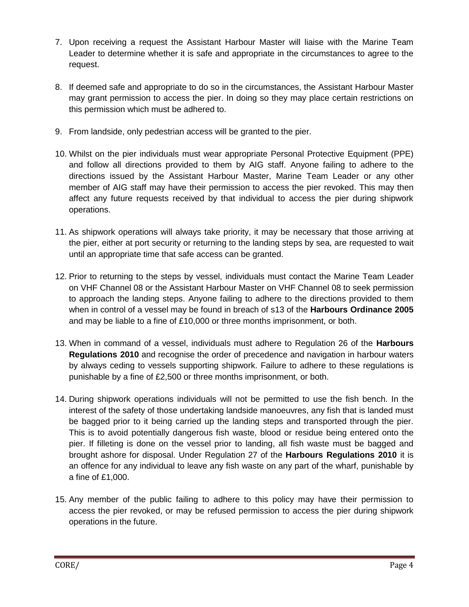- 7. Upon receiving a request the Assistant Harbour Master will liaise with the Marine Team Leader to determine whether it is safe and appropriate in the circumstances to agree to the request.
- 8. If deemed safe and appropriate to do so in the circumstances, the Assistant Harbour Master may grant permission to access the pier. In doing so they may place certain restrictions on this permission which must be adhered to.
- 9. From landside, only pedestrian access will be granted to the pier.
- 10. Whilst on the pier individuals must wear appropriate Personal Protective Equipment (PPE) and follow all directions provided to them by AIG staff. Anyone failing to adhere to the directions issued by the Assistant Harbour Master, Marine Team Leader or any other member of AIG staff may have their permission to access the pier revoked. This may then affect any future requests received by that individual to access the pier during shipwork operations.
- 11. As shipwork operations will always take priority, it may be necessary that those arriving at the pier, either at port security or returning to the landing steps by sea, are requested to wait until an appropriate time that safe access can be granted.
- 12. Prior to returning to the steps by vessel, individuals must contact the Marine Team Leader on VHF Channel 08 or the Assistant Harbour Master on VHF Channel 08 to seek permission to approach the landing steps. Anyone failing to adhere to the directions provided to them when in control of a vessel may be found in breach of s13 of the **Harbours Ordinance 2005** and may be liable to a fine of £10,000 or three months imprisonment, or both.
- 13. When in command of a vessel, individuals must adhere to Regulation 26 of the **Harbours Regulations 2010** and recognise the order of precedence and navigation in harbour waters by always ceding to vessels supporting shipwork. Failure to adhere to these regulations is punishable by a fine of £2,500 or three months imprisonment, or both.
- 14. During shipwork operations individuals will not be permitted to use the fish bench. In the interest of the safety of those undertaking landside manoeuvres, any fish that is landed must be bagged prior to it being carried up the landing steps and transported through the pier. This is to avoid potentially dangerous fish waste, blood or residue being entered onto the pier. If filleting is done on the vessel prior to landing, all fish waste must be bagged and brought ashore for disposal. Under Regulation 27 of the **Harbours Regulations 2010** it is an offence for any individual to leave any fish waste on any part of the wharf, punishable by a fine of £1,000.
- 15. Any member of the public failing to adhere to this policy may have their permission to access the pier revoked, or may be refused permission to access the pier during shipwork operations in the future.